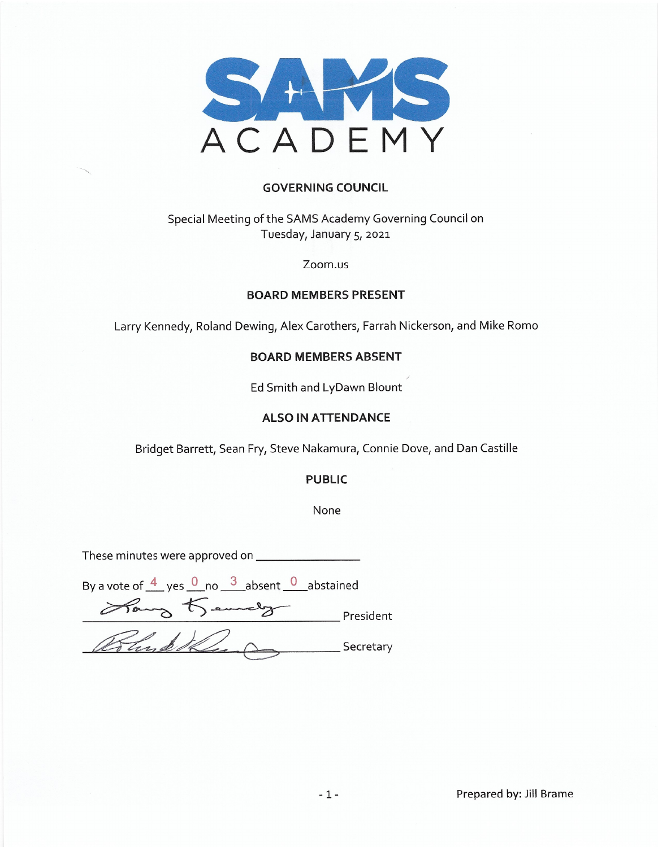

### **GOVERNING COUNCIL**

### Special Meeting of the SAMS Academy Governing Council on Tuesday, January 5, 2021

#### Zoom.us

#### **BOARD MEMBERS PRESENT**

Larry Kennedy, Roland Dewing, Alex Carothers, Farrah Nickerson, and Mike Romo

### **BOARD MEMBERS ABSENT**

Ed Smith and LyDawn Blount

#### **ALSO IN ATTENDANCE**

Bridget Barrett, Sean Fry, Steve Nakamura, Connie Dove, and Dan Castille

#### **PUBLIC**

None

By a vote of  $\frac{4}{ }$  yes  $\frac{0}{ }$  no  $\frac{3}{ }$  absent  $\frac{0}{ }$  abstained Hang Kennedy President Pund the \_\_ Secretary

Prepared by: Jill Brame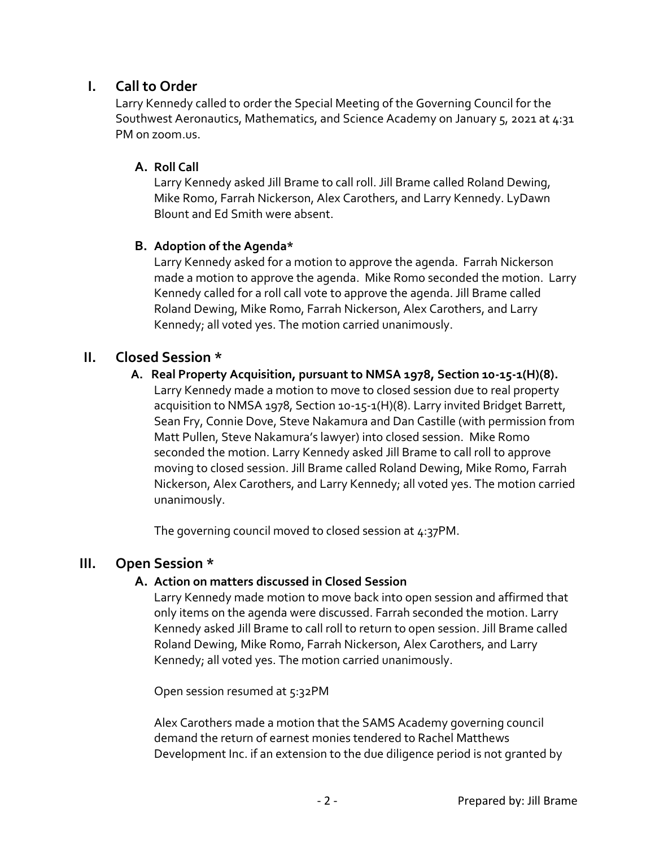## **I. Call to Order**

Larry Kennedy called to order the Special Meeting of the Governing Council for the Southwest Aeronautics, Mathematics, and Science Academy on January 5, 2021 at 4:31 PM on zoom.us.

## **A. Roll Call**

Larry Kennedy asked Jill Brame to call roll. Jill Brame called Roland Dewing, Mike Romo, Farrah Nickerson, Alex Carothers, and Larry Kennedy. LyDawn Blount and Ed Smith were absent.

## **B. Adoption of the Agenda\***

Larry Kennedy asked for a motion to approve the agenda. Farrah Nickerson made a motion to approve the agenda. Mike Romo seconded the motion. Larry Kennedy called for a roll call vote to approve the agenda. Jill Brame called Roland Dewing, Mike Romo, Farrah Nickerson, Alex Carothers, and Larry Kennedy; all voted yes. The motion carried unanimously.

## **II. Closed Session \***

 **A. Real Property Acquisition, pursuant to NMSA 1978, Section 10-15-1(H)(8).**  Larry Kennedy made a motion to move to closed session due to real property acquisition to NMSA 1978, Section 10-15-1(H)(8). Larry invited Bridget Barrett, Sean Fry, Connie Dove, Steve Nakamura and Dan Castille (with permission from Matt Pullen, Steve Nakamura's lawyer) into closed session. Mike Romo seconded the motion. Larry Kennedy asked Jill Brame to call roll to approve moving to closed session. Jill Brame called Roland Dewing, Mike Romo, Farrah Nickerson, Alex Carothers, and Larry Kennedy; all voted yes. The motion carried

The governing council moved to closed session at 4:37PM.

## **III. Open Session \***

unanimously.

## **A. Action on matters discussed in Closed Session**

Larry Kennedy made motion to move back into open session and affirmed that only items on the agenda were discussed. Farrah seconded the motion. Larry Kennedy asked Jill Brame to call roll to return to open session. Jill Brame called Roland Dewing, Mike Romo, Farrah Nickerson, Alex Carothers, and Larry Kennedy; all voted yes. The motion carried unanimously.

Open session resumed at 5:32PM

Alex Carothers made a motion that the SAMS Academy governing council demand the return of earnest monies tendered to Rachel Matthews Development Inc. if an extension to the due diligence period is not granted by